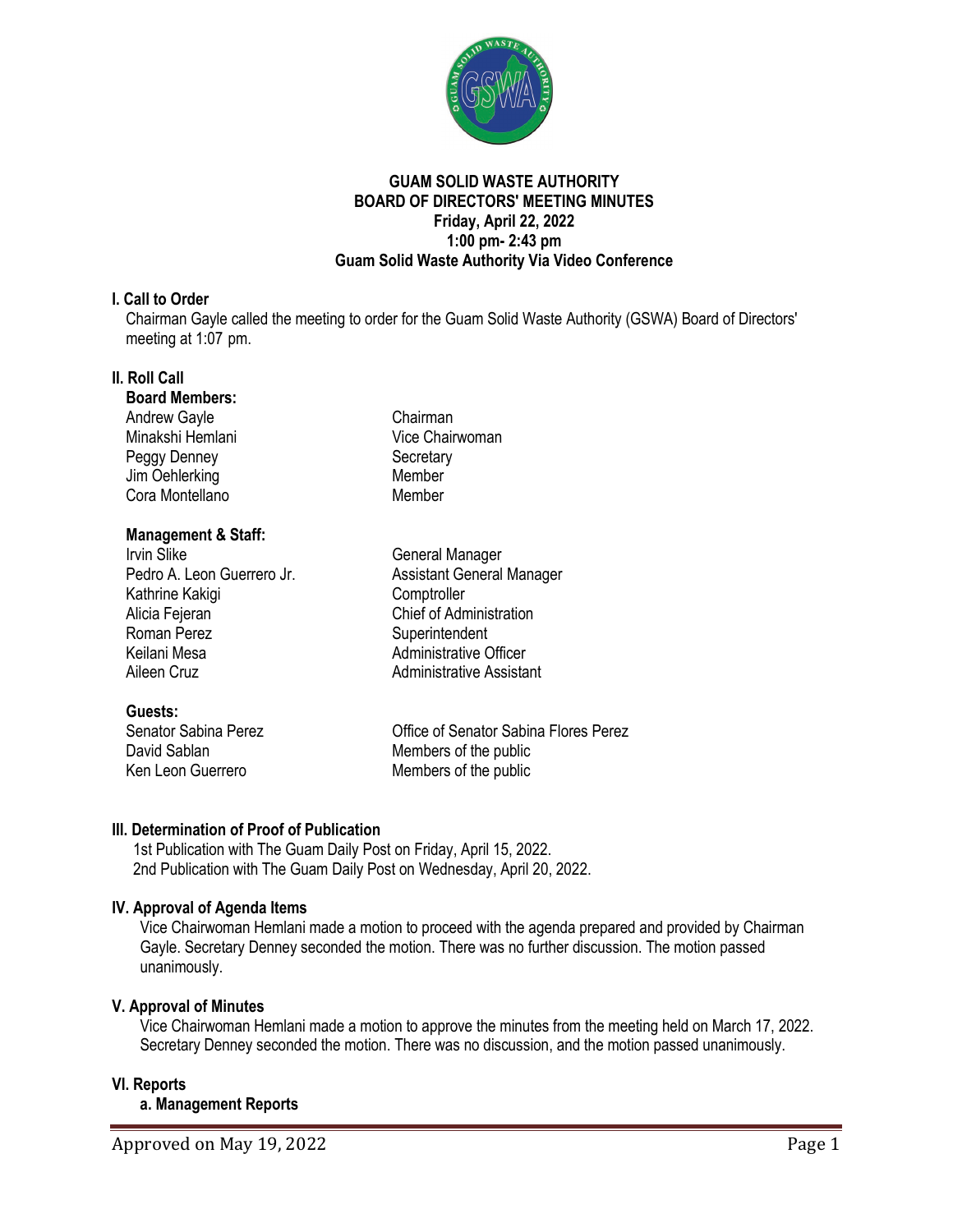

### **GUAM SOLID WASTE AUTHORITY BOARD OF DIRECTORS' MEETING MINUTES Friday, April 22, 2022 1:00 pm- 2:43 pm Guam Solid Waste Authority Via Video Conference**

## **I. Call to Order**

Chairman Gayle called the meeting to order for the Guam Solid Waste Authority (GSWA) Board of Directors' meeting at 1:07 pm.

# **II. Roll Call**

#### **Board Members:**

Andrew Gavle **Chairman** Minakshi Hemlani Vice Chairwoman Peggy Denney Secretary Jim Oehlerking Member Cora Montellano Member

## **Management & Staff:**

Irvin Slike<br>
Pedro A. Leon Guerrero Jr.<br>
Assistant General Kathrine Kakigi **Comptroller** Alicia Fejeran **Chief of Administration** Roman Perez **Superintendent**<br>
Keilani Mesa **Superintendent**<br>
Administrative C Aileen Cruz **Administrative Assistant** 

**Guests:**<br>Senator Sabina Perez

Assistant General Manager Administrative Officer

Office of Senator Sabina Flores Perez David Sablan Members of the public<br>
Ken Leon Guerrero Members of the public Members of the public

# **III. Determination of Proof of Publication**

1st Publication with The Guam Daily Post on Friday, April 15, 2022. 2nd Publication with The Guam Daily Post on Wednesday, April 20, 2022.

# **IV. Approval of Agenda Items**

Vice Chairwoman Hemlani made a motion to proceed with the agenda prepared and provided by Chairman Gayle. Secretary Denney seconded the motion. There was no further discussion. The motion passed unanimously.

# **V. Approval of Minutes**

Vice Chairwoman Hemlani made a motion to approve the minutes from the meeting held on March 17, 2022. Secretary Denney seconded the motion. There was no discussion, and the motion passed unanimously.

# **VI. Reports**

**a. Management Reports**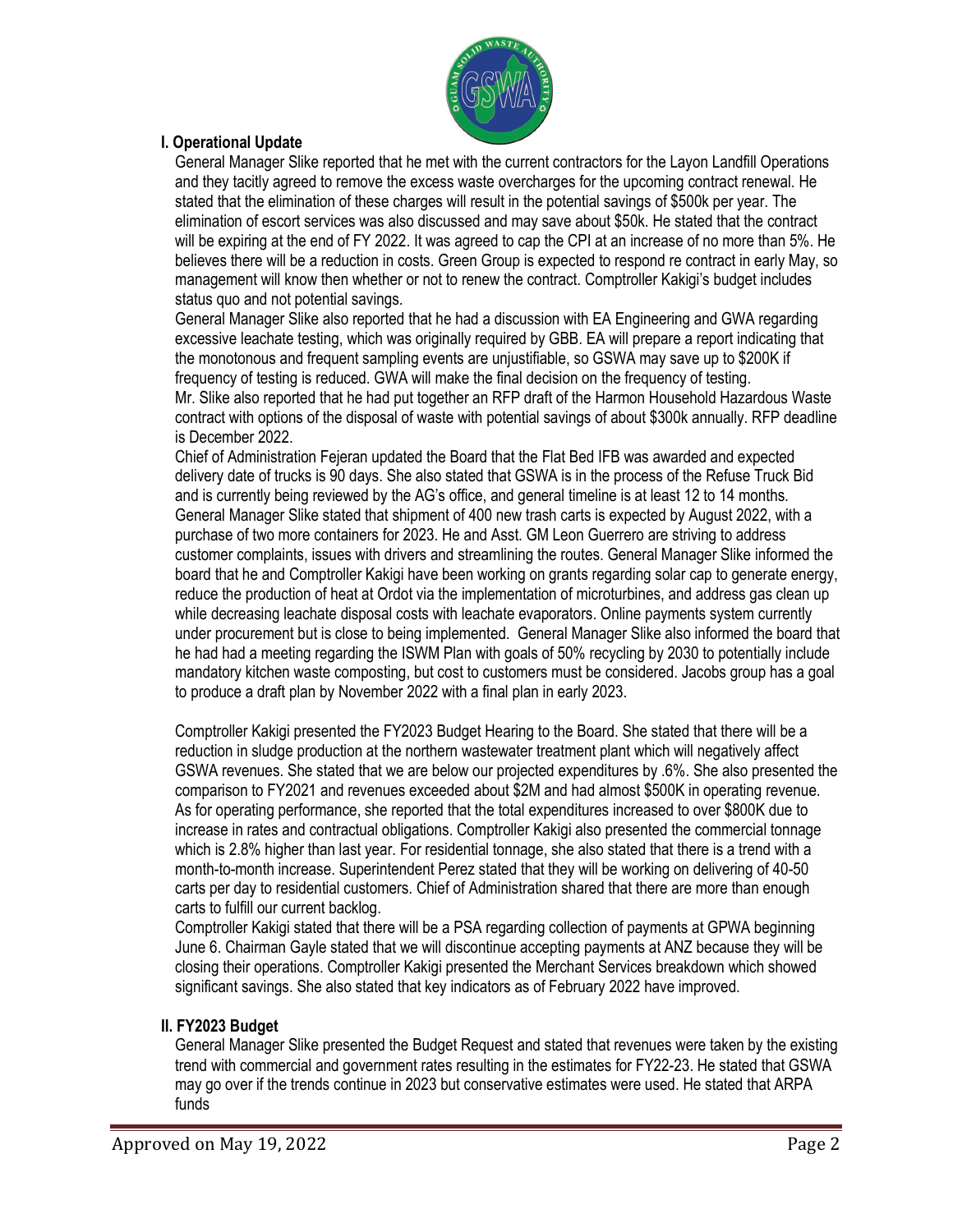

## **I. Operational Update**

General Manager Slike reported that he met with the current contractors for the Layon Landfill Operations and they tacitly agreed to remove the excess waste overcharges for the upcoming contract renewal. He stated that the elimination of these charges will result in the potential savings of \$500k per year. The elimination of escort services was also discussed and may save about \$50k. He stated that the contract will be expiring at the end of FY 2022. It was agreed to cap the CPI at an increase of no more than 5%. He believes there will be a reduction in costs. Green Group is expected to respond re contract in early May, so management will know then whether or not to renew the contract. Comptroller Kakigi's budget includes status quo and not potential savings.

General Manager Slike also reported that he had a discussion with EA Engineering and GWA regarding excessive leachate testing, which was originally required by GBB. EA will prepare a report indicating that the monotonous and frequent sampling events are unjustifiable, so GSWA may save up to \$200K if frequency of testing is reduced. GWA will make the final decision on the frequency of testing. Mr. Slike also reported that he had put together an RFP draft of the Harmon Household Hazardous Waste contract with options of the disposal of waste with potential savings of about \$300k annually. RFP deadline is December 2022.

Chief of Administration Fejeran updated the Board that the Flat Bed IFB was awarded and expected delivery date of trucks is 90 days. She also stated that GSWA is in the process of the Refuse Truck Bid and is currently being reviewed by the AG's office, and general timeline is at least 12 to 14 months. General Manager Slike stated that shipment of 400 new trash carts is expected by August 2022, with a purchase of two more containers for 2023. He and Asst. GM Leon Guerrero are striving to address customer complaints, issues with drivers and streamlining the routes. General Manager Slike informed the board that he and Comptroller Kakigi have been working on grants regarding solar cap to generate energy, reduce the production of heat at Ordot via the implementation of microturbines, and address gas clean up while decreasing leachate disposal costs with leachate evaporators. Online payments system currently under procurement but is close to being implemented. General Manager Slike also informed the board that he had had a meeting regarding the ISWM Plan with goals of 50% recycling by 2030 to potentially include mandatory kitchen waste composting, but cost to customers must be considered. Jacobs group has a goal to produce a draft plan by November 2022 with a final plan in early 2023.

Comptroller Kakigi presented the FY2023 Budget Hearing to the Board. She stated that there will be a reduction in sludge production at the northern wastewater treatment plant which will negatively affect GSWA revenues. She stated that we are below our projected expenditures by .6%. She also presented the comparison to FY2021 and revenues exceeded about \$2M and had almost \$500K in operating revenue. As for operating performance, she reported that the total expenditures increased to over \$800K due to increase in rates and contractual obligations. Comptroller Kakigi also presented the commercial tonnage which is 2.8% higher than last year. For residential tonnage, she also stated that there is a trend with a month-to-month increase. Superintendent Perez stated that they will be working on delivering of 40-50 carts per day to residential customers. Chief of Administration shared that there are more than enough carts to fulfill our current backlog.

Comptroller Kakigi stated that there will be a PSA regarding collection of payments at GPWA beginning June 6. Chairman Gayle stated that we will discontinue accepting payments at ANZ because they will be closing their operations. Comptroller Kakigi presented the Merchant Services breakdown which showed significant savings. She also stated that key indicators as of February 2022 have improved.

#### **II. FY2023 Budget**

General Manager Slike presented the Budget Request and stated that revenues were taken by the existing trend with commercial and government rates resulting in the estimates for FY22-23. He stated that GSWA may go over if the trends continue in 2023 but conservative estimates were used. He stated that ARPA funds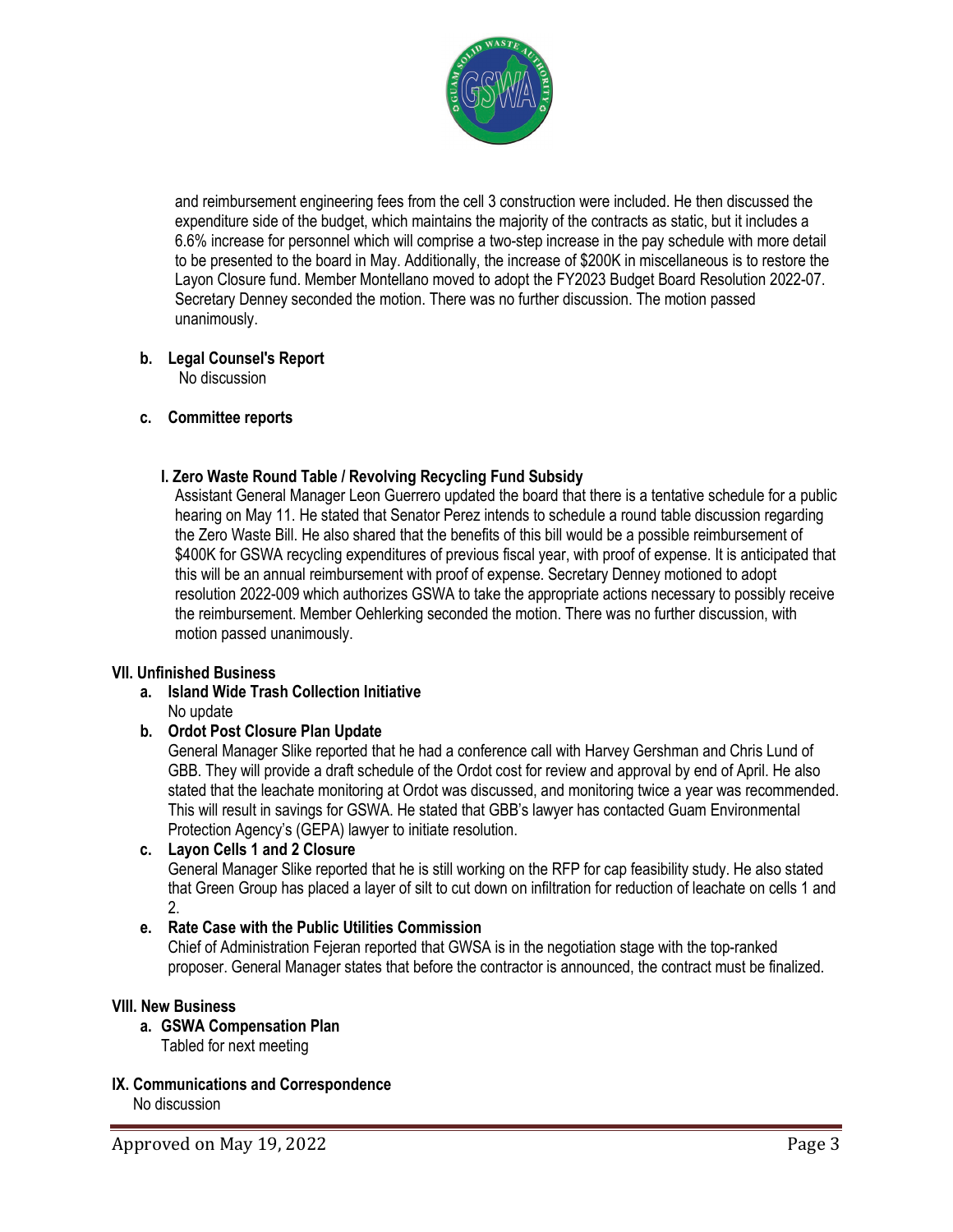

and reimbursement engineering fees from the cell 3 construction were included. He then discussed the expenditure side of the budget, which maintains the majority of the contracts as static, but it includes a 6.6% increase for personnel which will comprise a two-step increase in the pay schedule with more detail to be presented to the board in May. Additionally, the increase of \$200K in miscellaneous is to restore the Layon Closure fund. Member Montellano moved to adopt the FY2023 Budget Board Resolution 2022-07. Secretary Denney seconded the motion. There was no further discussion. The motion passed unanimously.

# **b. Legal Counsel's Report**

No discussion

## **c. Committee reports**

## **I. Zero Waste Round Table / Revolving Recycling Fund Subsidy**

Assistant General Manager Leon Guerrero updated the board that there is a tentative schedule for a public hearing on May 11. He stated that Senator Perez intends to schedule a round table discussion regarding the Zero Waste Bill. He also shared that the benefits of this bill would be a possible reimbursement of \$400K for GSWA recycling expenditures of previous fiscal year, with proof of expense. It is anticipated that this will be an annual reimbursement with proof of expense. Secretary Denney motioned to adopt resolution 2022-009 which authorizes GSWA to take the appropriate actions necessary to possibly receive the reimbursement. Member Oehlerking seconded the motion. There was no further discussion, with motion passed unanimously.

#### **VII. Unfinished Business**

**a. Island Wide Trash Collection Initiative** No update

# **b. Ordot Post Closure Plan Update**

General Manager Slike reported that he had a conference call with Harvey Gershman and Chris Lund of GBB. They will provide a draft schedule of the Ordot cost for review and approval by end of April. He also stated that the leachate monitoring at Ordot was discussed, and monitoring twice a year was recommended. This will result in savings for GSWA. He stated that GBB's lawyer has contacted Guam Environmental Protection Agency's (GEPA) lawyer to initiate resolution.

#### **c. Layon Cells 1 and 2 Closure**

General Manager Slike reported that he is still working on the RFP for cap feasibility study. He also stated that Green Group has placed a layer of silt to cut down on infiltration for reduction of leachate on cells 1 and 2.

# **e. Rate Case with the Public Utilities Commission**

Chief of Administration Fejeran reported that GWSA is in the negotiation stage with the top-ranked proposer. General Manager states that before the contractor is announced, the contract must be finalized.

#### **VIII. New Business**

- **a. GSWA Compensation Plan**
	- Tabled for next meeting

# **IX. Communications and Correspondence**

No discussion